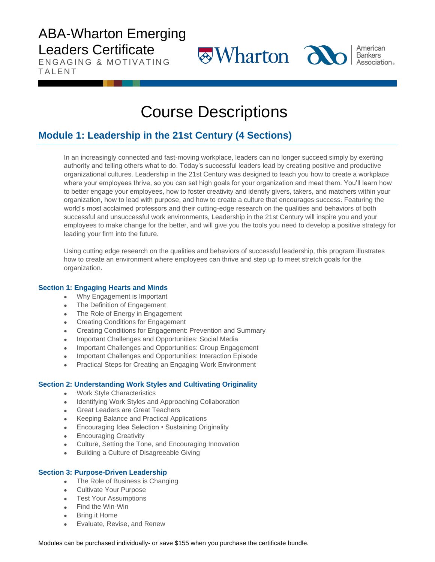ENGAGING & MOTIVATING **TALENT** 

 $\otimes$ Wharton  $\partial \mathbf{b}$ 



American **Bankers Association**.

# Course Descriptions

### **Module 1: Leadership in the 21st Century (4 Sections)**

In an increasingly connected and fast-moving workplace, leaders can no longer succeed simply by exerting authority and telling others what to do. Today's successful leaders lead by creating positive and productive organizational cultures. Leadership in the 21st Century was designed to teach you how to create a workplace where your employees thrive, so you can set high goals for your organization and meet them. You'll learn how to better engage your employees, how to foster creativity and identify givers, takers, and matchers within your organization, how to lead with purpose, and how to create a culture that encourages success. Featuring the world's most acclaimed professors and their cutting-edge research on the qualities and behaviors of both successful and unsuccessful work environments, Leadership in the 21st Century will inspire you and your employees to make change for the better, and will give you the tools you need to develop a positive strategy for leading your firm into the future.

Using cutting edge research on the qualities and behaviors of successful leadership, this program illustrates how to create an environment where employees can thrive and step up to meet stretch goals for the organization.

### **Section 1: Engaging Hearts and Minds**

- Why Engagement is Important
- The Definition of Engagement
- The Role of Energy in Engagement
- Creating Conditions for Engagement
- Creating Conditions for Engagement: Prevention and Summary
- Important Challenges and Opportunities: Social Media
- Important Challenges and Opportunities: Group Engagement
- Important Challenges and Opportunities: Interaction Episode
- Practical Steps for Creating an Engaging Work Environment

### **Section 2: Understanding Work Styles and Cultivating Originality**

- Work Style Characteristics
- Identifying Work Styles and Approaching Collaboration
- Great Leaders are Great Teachers
- Keeping Balance and Practical Applications
- Encouraging Idea Selection Sustaining Originality
- Encouraging Creativity
- Culture, Setting the Tone, and Encouraging Innovation
- Building a Culture of Disagreeable Giving

### **Section 3: Purpose-Driven Leadership**

- The Role of Business is Changing
- Cultivate Your Purpose
- Test Your Assumptions
- Find the Win-Win
- **Bring it Home**
- Evaluate, Revise, and Renew

Modules can be purchased individually- or save \$155 when you purchase the certificate bundle.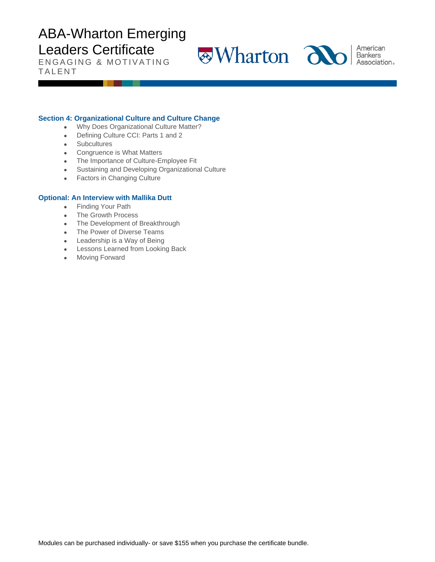ENGAGING & MOTIVATING **TALENT** 

**Wharton**  $\overline{d}$  **and American** 



Association.

### **Section 4: Organizational Culture and Culture Change**

- Why Does Organizational Culture Matter?
- Defining Culture CCI: Parts 1 and 2
- Subcultures
- Congruence is What Matters
- The Importance of Culture-Employee Fit
- Sustaining and Developing Organizational Culture
- Factors in Changing Culture

#### **Optional: An Interview with Mallika Dutt**

- Finding Your Path
- The Growth Process
- The Development of Breakthrough
- The Power of Diverse Teams
- Leadership is a Way of Being
- Lessons Learned from Looking Back
- Moving Forward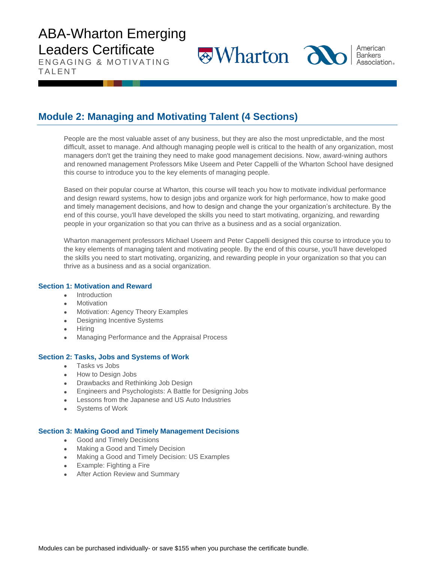ENGAGING & MOTIVATING **TALENT** 

**Wharton alo** 

American **Bankers** Association®

### **Module 2: Managing and Motivating Talent (4 Sections)**

People are the most valuable asset of any business, but they are also the most unpredictable, and the most difficult, asset to manage. And although managing people well is critical to the health of any organization, most managers don't get the training they need to make good management decisions. Now, award-wining authors and renowned management Professors Mike Useem and Peter Cappelli of the Wharton School have designed this course to introduce you to the key elements of managing people.

Based on their popular course at Wharton, this course will teach you how to motivate individual performance and design reward systems, how to design jobs and organize work for high performance, how to make good and timely management decisions, and how to design and change the your organization's architecture. By the end of this course, you'll have developed the skills you need to start motivating, organizing, and rewarding people in your organization so that you can thrive as a business and as a social organization.

Wharton management professors Michael Useem and Peter Cappelli designed this course to introduce you to the key elements of managing talent and motivating people. By the end of this course, you'll have developed the skills you need to start motivating, organizing, and rewarding people in your organization so that you can thrive as a business and as a social organization.

### **Section 1: Motivation and Reward**

- Introduction
- **Motivation**
- Motivation: Agency Theory Examples
- Designing Incentive Systems
- Hiring
- Managing Performance and the Appraisal Process

### **Section 2: Tasks, Jobs and Systems of Work**

- Tasks vs Jobs
- How to Design Jobs
- Drawbacks and Rethinking Job Design
- Engineers and Psychologists: A Battle for Designing Jobs
- Lessons from the Japanese and US Auto Industries
- Systems of Work

### **Section 3: Making Good and Timely Management Decisions**

- Good and Timely Decisions
- Making a Good and Timely Decision
- Making a Good and Timely Decision: US Examples
- Example: Fighting a Fire
- After Action Review and Summary